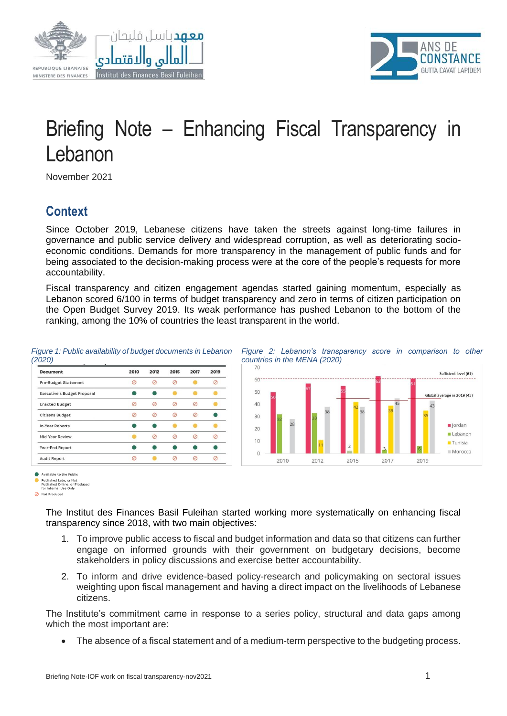





# Briefing Note – Enhancing Fiscal Transparency in Lebanon

November 2021

## **Context**

Since October 2019, Lebanese citizens have taken the streets against long-time failures in governance and public service delivery and widespread corruption, as well as deteriorating socioeconomic conditions. Demands for more transparency in the management of public funds and for being associated to the decision-making process were at the core of the people's requests for more accountability.

Fiscal transparency and citizen engagement agendas started gaining momentum, especially as Lebanon scored 6/100 in terms of budget transparency and zero in terms of citizen participation on the Open Budget Survey 2019. Its weak performance has pushed Lebanon to the bottom of the ranking, among the 10% of countries the least transparent in the world.

#### *Figure 1: Public availability of budget documents in Lebanon (2020)*

| <b>Document</b>                    | 2010 | 2012 | 2015 | 2017 | 2019 |
|------------------------------------|------|------|------|------|------|
| <b>Pre-Budget Statement</b>        |      |      |      |      |      |
| <b>Executive's Budget Proposal</b> |      |      |      |      |      |
| <b>Enacted Budget</b>              |      |      |      |      |      |
| <b>Citizens Budget</b>             |      |      |      |      |      |
| <b>In-Year Reports</b>             |      |      |      |      |      |
| Mid-Year Review                    |      |      |      |      |      |
| Year-End Report                    |      |      |      |      |      |
| <b>Audit Report</b>                |      |      |      |      |      |



*Figure 2: Lebanon's transparency score in comparison to other* 

Available to the Public

Not Produced

The Institut des Finances Basil Fuleihan started working more systematically on enhancing fiscal transparency since 2018, with two main objectives:

- 1. To improve public access to fiscal and budget information and data so that citizens can further engage on informed grounds with their government on budgetary decisions, become stakeholders in policy discussions and exercise better accountability.
- 2. To inform and drive evidence-based policy-research and policymaking on sectoral issues weighting upon fiscal management and having a direct impact on the livelihoods of Lebanese citizens.

The Institute's commitment came in response to a series policy, structural and data gaps among which the most important are:

• The absence of a fiscal statement and of a medium-term perspective to the budgeting process.

Published Late, or Not<br>Published Online, or Pro<br>for Internal Use Only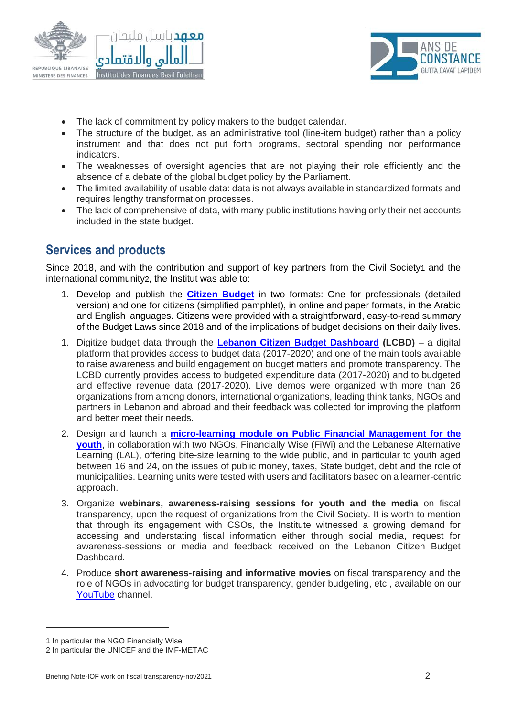



- The lack of commitment by policy makers to the budget calendar.
- The structure of the budget, as an administrative tool (line-item budget) rather than a policy instrument and that does not put forth programs, sectoral spending nor performance indicators.
- The weaknesses of oversight agencies that are not playing their role efficiently and the absence of a debate of the global budget policy by the Parliament.
- The limited availability of usable data: data is not always available in standardized formats and requires lengthy transformation processes.
- The lack of comprehensive of data, with many public institutions having only their net accounts included in the state budget.

### **Services and products**

Since 2018, and with the contribution and support of key partners from the Civil Society1 and the international community2, the Institut was able to:

- 1. Develop and publish the **[Citizen Budget](http://www.institutdesfinances.gov.lb/project/%d9%85%d9%88%d8%a7%d8%b2%d9%86%d8%a9-%d8%a7%d9%84%d9%85%d9%88%d8%a7%d8%b7%d9%90%d9%86-%d9%88%d8%a7%d9%84%d9%85%d9%88%d8%a7%d8%b7%d9%90%d9%86%d8%a9-citizen-budget/)** in two formats: One for professionals (detailed version) and one for citizens (simplified pamphlet), in online and paper formats, in the Arabic and English languages. Citizens were provided with a straightforward, easy-to-read summary of the Budget Laws since 2018 and of the implications of budget decisions on their daily lives.
- 1. Digitize budget data through the **[Lebanon Citizen Budget Dashboard](http://www.institutdesfinances.gov.lb/data/lebanon-citizen-budget/) (LCBD)** a digital platform that provides access to budget data (2017-2020) and one of the main tools available to raise awareness and build engagement on budget matters and promote transparency. The LCBD currently provides access to budgeted expenditure data (2017-2020) and to budgeted and effective revenue data (2017-2020). Live demos were organized with more than 26 organizations from among donors, international organizations, leading think tanks, NGOs and partners in Lebanon and abroad and their feedback was collected for improving the platform and better meet their needs.
- 2. Design and launch a **[micro-learning module on Public Financial Management for the](http://www.institutdesfinances.gov.lb/learning/e-learning-on-public-financial-management-for-the-youth/)  [youth](http://www.institutdesfinances.gov.lb/learning/e-learning-on-public-financial-management-for-the-youth/)**, in collaboration with two NGOs, Financially Wise (FiWi) and the Lebanese Alternative Learning (LAL), offering bite-size learning to the wide public, and in particular to youth aged between 16 and 24, on the issues of public money, taxes, State budget, debt and the role of municipalities. Learning units were tested with users and facilitators based on a learner-centric approach.
- 3. Organize **webinars, awareness-raising sessions for youth and the media** on fiscal transparency, upon the request of organizations from the Civil Society. It is worth to mention that through its engagement with CSOs, the Institute witnessed a growing demand for accessing and understating fiscal information either through social media, request for awareness-sessions or media and feedback received on the Lebanon Citizen Budget Dashboard.
- 4. Produce **short awareness-raising and informative movies** on fiscal transparency and the role of NGOs in advocating for budget transparency, gender budgeting, etc., available on our [YouTube](https://www.youtube.com/user/InstituteOfFinance/videos) channel.

<sup>1</sup> In particular the NGO Financially Wise

<sup>2</sup> In particular the UNICEF and the IMF-METAC